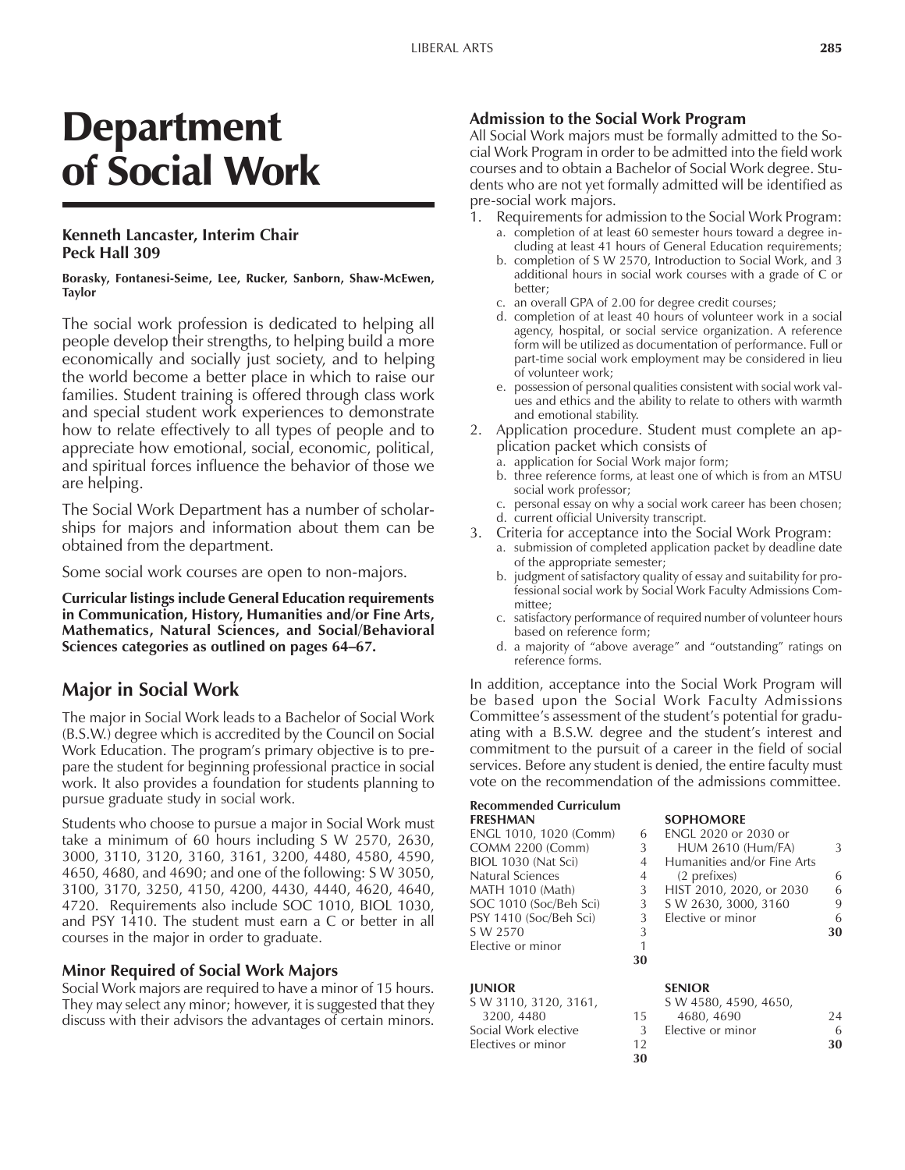# Department of Social Work

### **Kenneth Lancaster, Interim Chair Peck Hall 309**

#### **Borasky, Fontanesi-Seime, Lee, Rucker, Sanborn, Shaw-McEwen, Taylor**

The social work profession is dedicated to helping all people develop their strengths, to helping build a more economically and socially just society, and to helping the world become a better place in which to raise our families. Student training is offered through class work and special student work experiences to demonstrate how to relate effectively to all types of people and to appreciate how emotional, social, economic, political, and spiritual forces influence the behavior of those we are helping.

The Social Work Department has a number of scholarships for majors and information about them can be obtained from the department.

Some social work courses are open to non-majors.

**Curricular listings include General Education requirements in Communication, History, Humanities and/or Fine Arts, Mathematics, Natural Sciences, and Social/Behavioral** Sciences categories as outlined on pages 64–67.

### **Major in Social Work**

The major in Social Work leads to a Bachelor of Social Work (B.S.W.) degree which is accredited by the Council on Social Work Education. The programís primary objective is to prepare the student for beginning professional practice in social work. It also provides a foundation for students planning to pursue graduate study in social work.

Students who choose to pursue a major in Social Work must take a minimum of 60 hours including S W 2570, 2630, 3000, 3110, 3120, 3160, 3161, 3200, 4480, 4580, 4590, 4650, 4680, and 4690; and one of the following: S W 3050, 3100, 3170, 3250, 4150, 4200, 4430, 4440, 4620, 4640, 4720. Requirements also include SOC 1010, BIOL 1030, and PSY 1410. The student must earn a C or better in all courses in the major in order to graduate.

### **Minor Required of Social Work Majors**

Social Work majors are required to have a minor of 15 hours. They may select any minor; however, it is suggested that they discuss with their advisors the advantages of certain minors.

### **Admission to the Social Work Program**

All Social Work majors must be formally admitted to the Social Work Program in order to be admitted into the field work courses and to obtain a Bachelor of Social Work degree. Students who are not yet formally admitted will be identified as pre-social work majors.

- Requirements for admission to the Social Work Program: a. completion of at least 60 semester hours toward a degree including at least 41 hours of General Education requirements;
	- b. completion of S W 2570, Introduction to Social Work, and 3 additional hours in social work courses with a grade of C or better;
	- c. an overall GPA of 2.00 for degree credit courses;
	- d. completion of at least 40 hours of volunteer work in a social agency, hospital, or social service organization. A reference form will be utilized as documentation of performance. Full or part-time social work employment may be considered in lieu of volunteer work;
	- e. possession of personal qualities consistent with social work values and ethics and the ability to relate to others with warmth and emotional stability.
- 2. Application procedure. Student must complete an application packet which consists of
	- a. application for Social Work major form;
	- b. three reference forms, at least one of which is from an MTSU social work professor;
	- c. personal essay on why a social work career has been chosen; d. current official University transcript.
- 3. Criteria for acceptance into the Social Work Program:
	- a. submission of completed application packet by deadline date of the appropriate semester;
		- b. judgment of satisfactory quality of essay and suitability for professional social work by Social Work Faculty Admissions Committee;
		- c. satisfactory performance of required number of volunteer hours based on reference form;
		- d. a majority of "above average" and "outstanding" ratings on reference forms.

In addition, acceptance into the Social Work Program will be based upon the Social Work Faculty Admissions Committee's assessment of the student's potential for graduating with a B.S.W. degree and the student's interest and commitment to the pursuit of a career in the field of social services. Before any student is denied, the entire faculty must vote on the recommendation of the admissions committee.

**SOPHOMORE** 

# **Recommended Curriculum**

| ENGL 1010, 1020 (Comm)  |    | ENGL 2020 or 2030 or        |    |
|-------------------------|----|-----------------------------|----|
| <b>COMM 2200 (Comm)</b> | 3  | <b>HUM 2610 (Hum/FA)</b>    | 3  |
| BIOL 1030 (Nat Sci)     | 4  | Humanities and/or Fine Arts |    |
| Natural Sciences        | 4  | (2 prefixes)                | 6  |
| <b>MATH 1010 (Math)</b> | 3  | HIST 2010, 2020, or 2030    | 6  |
| SOC 1010 (Soc/Beh Sci)  | 3  | S W 2630, 3000, 3160        | 9  |
| PSY 1410 (Soc/Beh Sci)  |    | Elective or minor           | 6  |
| S W 2570                | 3  |                             | 30 |
| Elective or minor       |    |                             |    |
|                         | 30 |                             |    |

### **JUNIOR SENIOR**

|               | S W 4580, 4590, 4650, |    |
|---------------|-----------------------|----|
| 15.           | 4680, 4690            | 24 |
| $\mathcal{L}$ | Elective or minor     | 6  |
| 12            |                       | 30 |
| 30            |                       |    |
|               |                       |    |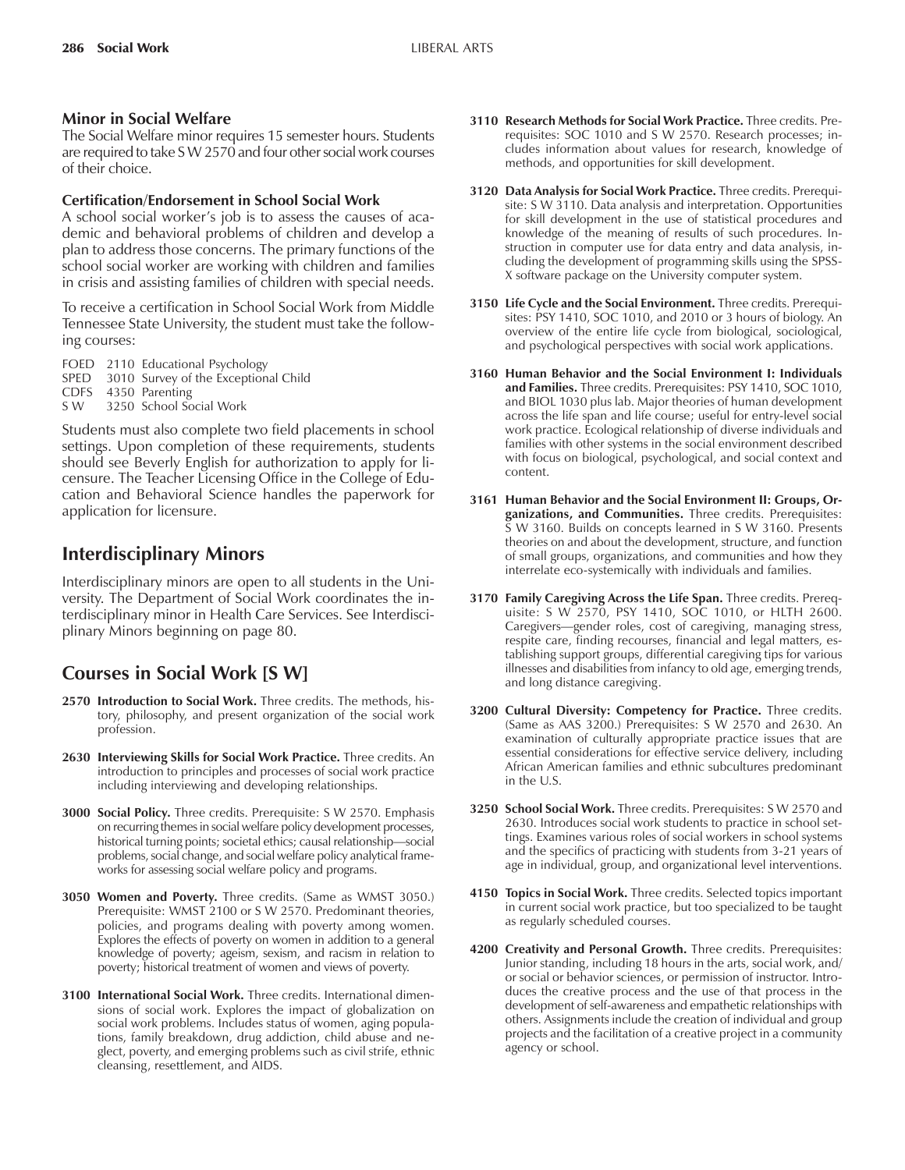### **Minor in Social Welfare**

The Social Welfare minor requires 15 semester hours. Students are required to take S W 2570 and four other social work courses of their choice.

### **Certification/Endorsement in School Social Work**

A school social worker's job is to assess the causes of academic and behavioral problems of children and develop a plan to address those concerns. The primary functions of the school social worker are working with children and families in crisis and assisting families of children with special needs.

To receive a certification in School Social Work from Middle Tennessee State University, the student must take the following courses:

FOED 2110 Educational Psychology SPED 3010 Survey of the Exceptional Child CDFS 4350 Parenting<br>SW 3250 School So 3250 School Social Work

Students must also complete two field placements in school settings. Upon completion of these requirements, students should see Beverly English for authorization to apply for licensure. The Teacher Licensing Office in the College of Education and Behavioral Science handles the paperwork for application for licensure.

## **Interdisciplinary Minors**

Interdisciplinary minors are open to all students in the University. The Department of Social Work coordinates the interdisciplinary minor in Health Care Services. See Interdisciplinary Minors beginning on page 80.

# **Courses in Social Work [S W]**

- **2570 Introduction to Social Work.** Three credits. The methods, history, philosophy, and present organization of the social work profession.
- **2630 Interviewing Skills for Social Work Practice.** Three credits. An introduction to principles and processes of social work practice including interviewing and developing relationships.
- **3000 Social Policy.** Three credits. Prerequisite: S W 2570. Emphasis on recurring themes in social welfare policy development processes, historical turning points; societal ethics; causal relationship—social problems, social change, and social welfare policy analytical frameworks for assessing social welfare policy and programs.
- **3050 Women and Poverty.** Three credits. (Same as WMST 3050.) Prerequisite: WMST 2100 or S W 2570. Predominant theories, policies, and programs dealing with poverty among women. Explores the effects of poverty on women in addition to a general knowledge of poverty; ageism, sexism, and racism in relation to poverty; historical treatment of women and views of poverty.
- **3100 International Social Work.** Three credits. International dimensions of social work. Explores the impact of globalization on social work problems. Includes status of women, aging populations, family breakdown, drug addiction, child abuse and neglect, poverty, and emerging problems such as civil strife, ethnic cleansing, resettlement, and AIDS.
- **3110 Research Methods for Social Work Practice.** Three credits. Prerequisites: SOC 1010 and S W 2570. Research processes; includes information about values for research, knowledge of methods, and opportunities for skill development.
- **3120 Data Analysis for Social Work Practice.** Three credits. Prerequisite: S W 3110. Data analysis and interpretation. Opportunities for skill development in the use of statistical procedures and knowledge of the meaning of results of such procedures. Instruction in computer use for data entry and data analysis, including the development of programming skills using the SPSS-X software package on the University computer system.
- **3150 Life Cycle and the Social Environment.** Three credits. Prerequisites: PSY 1410, SOC 1010, and 2010 or 3 hours of biology. An overview of the entire life cycle from biological, sociological, and psychological perspectives with social work applications.
- **3160 Human Behavior and the Social Environment I: Individuals and Families.** Three credits. Prerequisites: PSY 1410, SOC 1010, and BIOL 1030 plus lab. Major theories of human development across the life span and life course; useful for entry-level social work practice. Ecological relationship of diverse individuals and families with other systems in the social environment described with focus on biological, psychological, and social context and content.
- **3161 Human Behavior and the Social Environment II: Groups, Organizations, and Communities.** Three credits. Prerequisites: S W 3160. Builds on concepts learned in S W 3160. Presents theories on and about the development, structure, and function of small groups, organizations, and communities and how they interrelate eco-systemically with individuals and families.
- **3170 Family Caregiving Across the Life Span.** Three credits. Prerequisite: S W 2570, PSY 1410, SOC 1010, or HLTH 2600. Caregivers—gender roles, cost of caregiving, managing stress, respite care, finding recourses, financial and legal matters, establishing support groups, differential caregiving tips for various illnesses and disabilities from infancy to old age, emerging trends, and long distance caregiving.
- **3200 Cultural Diversity: Competency for Practice.** Three credits. (Same as AAS 3200.) Prerequisites: S W 2570 and 2630. An examination of culturally appropriate practice issues that are essential considerations for effective service delivery, including African American families and ethnic subcultures predominant in the U.S.
- **3250 School Social Work.** Three credits. Prerequisites: S W 2570 and 2630. Introduces social work students to practice in school settings. Examines various roles of social workers in school systems and the specifics of practicing with students from 3-21 years of age in individual, group, and organizational level interventions.
- **4150 Topics in Social Work.** Three credits. Selected topics important in current social work practice, but too specialized to be taught as regularly scheduled courses.
- **4200 Creativity and Personal Growth.** Three credits. Prerequisites: Junior standing, including 18 hours in the arts, social work, and/ or social or behavior sciences, or permission of instructor. Introduces the creative process and the use of that process in the development of self-awareness and empathetic relationships with others. Assignments include the creation of individual and group projects and the facilitation of a creative project in a community agency or school.